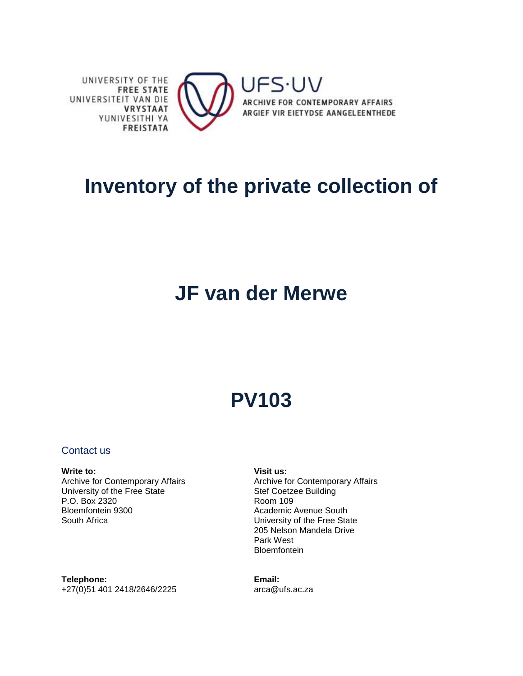

## **Inventory of the private collection of**

## **JF van der Merwe**

# **PV103**

### Contact us

#### **Write to:** Archive for Contemporary Affairs University of the Free State P.O. Box 2320 Bloemfontein 9300 South Africa

**Visit us:** Archive for Contemporary Affairs Stef Coetzee Building Room 109 Academic Avenue South University of the Free State 205 Nelson Mandela Drive Park West **Bloemfontein** 

**Telephone:** +27(0)51 401 2418/2646/2225 **Email:** arca@ufs.ac.za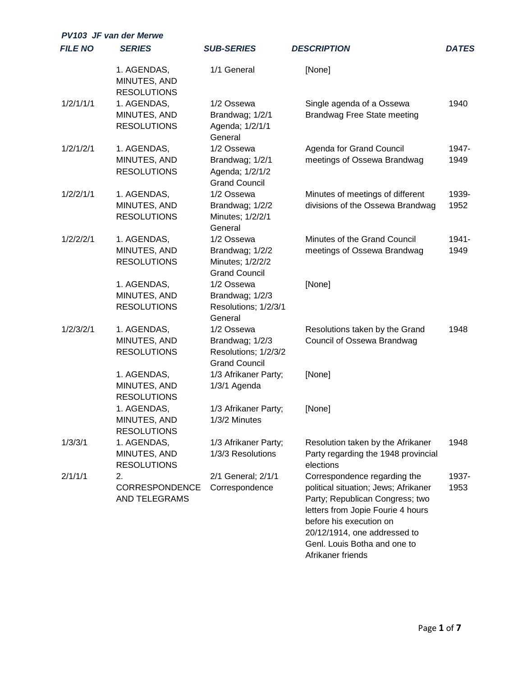| <b>PV103 JF van der Merwe</b> |                                                   |                                                                               |                                                                                                                                                                                                                                                              |               |  |
|-------------------------------|---------------------------------------------------|-------------------------------------------------------------------------------|--------------------------------------------------------------------------------------------------------------------------------------------------------------------------------------------------------------------------------------------------------------|---------------|--|
| <b>FILE NO</b>                | <b>SERIES</b>                                     | <b>SUB-SERIES</b>                                                             | <b>DESCRIPTION</b>                                                                                                                                                                                                                                           | <b>DATES</b>  |  |
|                               | 1. AGENDAS,<br>MINUTES, AND<br><b>RESOLUTIONS</b> | 1/1 General                                                                   | [None]                                                                                                                                                                                                                                                       |               |  |
| 1/2/1/1/1                     | 1. AGENDAS,<br>MINUTES, AND<br><b>RESOLUTIONS</b> | 1/2 Ossewa<br>Brandwag; 1/2/1<br>Agenda; 1/2/1/1<br>General                   | Single agenda of a Ossewa<br><b>Brandwag Free State meeting</b>                                                                                                                                                                                              | 1940          |  |
| 1/2/1/2/1                     | 1. AGENDAS,<br>MINUTES, AND<br><b>RESOLUTIONS</b> | 1/2 Ossewa<br>Brandwag; 1/2/1<br>Agenda; 1/2/1/2<br><b>Grand Council</b>      | Agenda for Grand Council<br>meetings of Ossewa Brandwag                                                                                                                                                                                                      | 1947-<br>1949 |  |
| 1/2/2/1/1                     | 1. AGENDAS,<br>MINUTES, AND<br><b>RESOLUTIONS</b> | 1/2 Ossewa<br>Brandwag; 1/2/2<br>Minutes; 1/2/2/1<br>General                  | Minutes of meetings of different<br>divisions of the Ossewa Brandwag                                                                                                                                                                                         | 1939-<br>1952 |  |
| 1/2/2/2/1                     | 1. AGENDAS,<br>MINUTES, AND<br><b>RESOLUTIONS</b> | 1/2 Ossewa<br>Brandwag; 1/2/2<br>Minutes; 1/2/2/2<br><b>Grand Council</b>     | Minutes of the Grand Council<br>meetings of Ossewa Brandwag                                                                                                                                                                                                  | 1941-<br>1949 |  |
|                               | 1. AGENDAS,<br>MINUTES, AND<br><b>RESOLUTIONS</b> | 1/2 Ossewa<br>Brandwag; 1/2/3<br>Resolutions; 1/2/3/1<br>General              | [None]                                                                                                                                                                                                                                                       |               |  |
| 1/2/3/2/1                     | 1. AGENDAS,<br>MINUTES, AND<br><b>RESOLUTIONS</b> | 1/2 Ossewa<br>Brandwag; 1/2/3<br>Resolutions; 1/2/3/2<br><b>Grand Council</b> | Resolutions taken by the Grand<br>Council of Ossewa Brandwag                                                                                                                                                                                                 | 1948          |  |
|                               | 1. AGENDAS,<br>MINUTES, AND<br><b>RESOLUTIONS</b> | 1/3 Afrikaner Party;<br>1/3/1 Agenda                                          | [None]                                                                                                                                                                                                                                                       |               |  |
|                               | 1. AGENDAS,<br>MINUTES, AND<br><b>RESOLUTIONS</b> | 1/3 Afrikaner Party;<br>1/3/2 Minutes                                         | [None]                                                                                                                                                                                                                                                       |               |  |
| 1/3/3/1                       | 1. AGENDAS,<br>MINUTES, AND<br><b>RESOLUTIONS</b> | 1/3 Afrikaner Party;<br>1/3/3 Resolutions                                     | Resolution taken by the Afrikaner<br>Party regarding the 1948 provincial<br>elections                                                                                                                                                                        | 1948          |  |
| 2/1/1/1                       | 2.<br>CORRESPONDENCE<br><b>AND TELEGRAMS</b>      | 2/1 General; 2/1/1<br>Correspondence                                          | Correspondence regarding the<br>political situation; Jews; Afrikaner<br>Party; Republican Congress; two<br>letters from Jopie Fourie 4 hours<br>before his execution on<br>20/12/1914, one addressed to<br>Genl. Louis Botha and one to<br>Afrikaner friends | 1937-<br>1953 |  |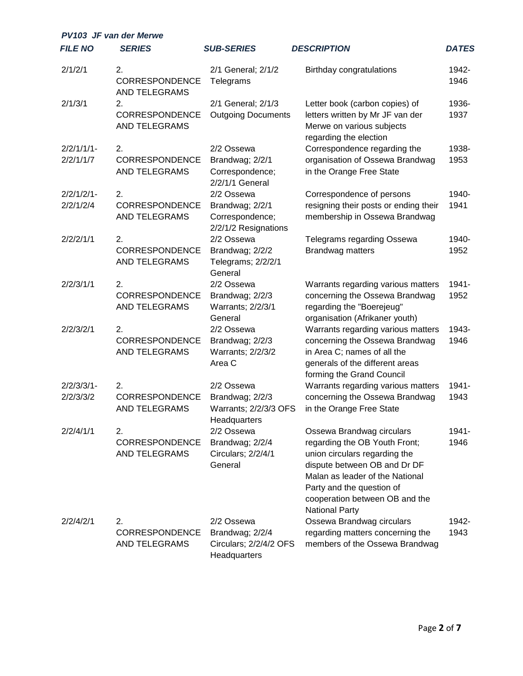| <b>PV103 JF van der Merwe</b> |                                              |                                                                          |                                                                                                                                                                                                                                                        |               |  |
|-------------------------------|----------------------------------------------|--------------------------------------------------------------------------|--------------------------------------------------------------------------------------------------------------------------------------------------------------------------------------------------------------------------------------------------------|---------------|--|
| <b>FILE NO</b>                | <b>SERIES</b>                                | <b>SUB-SERIES</b>                                                        | <b>DESCRIPTION</b>                                                                                                                                                                                                                                     | <b>DATES</b>  |  |
| 2/1/2/1                       | 2.<br>CORRESPONDENCE<br>AND TELEGRAMS        | 2/1 General; 2/1/2<br>Telegrams                                          | Birthday congratulations                                                                                                                                                                                                                               | 1942-<br>1946 |  |
| 2/1/3/1                       | 2.<br>CORRESPONDENCE<br>AND TELEGRAMS        | 2/1 General; 2/1/3<br><b>Outgoing Documents</b>                          | Letter book (carbon copies) of<br>letters written by Mr JF van der<br>Merwe on various subjects<br>regarding the election                                                                                                                              | 1936-<br>1937 |  |
| $2/2/1/1/1$ -<br>2/2/1/1/7    | 2.<br>CORRESPONDENCE<br>AND TELEGRAMS        | 2/2 Ossewa<br>Brandwag; 2/2/1<br>Correspondence;<br>2/2/1/1 General      | Correspondence regarding the<br>organisation of Ossewa Brandwag<br>in the Orange Free State                                                                                                                                                            | 1938-<br>1953 |  |
| $2/2/1/2/1$ -<br>2/2/1/2/4    | 2.<br>CORRESPONDENCE<br><b>AND TELEGRAMS</b> | 2/2 Ossewa<br>Brandwag; 2/2/1<br>Correspondence;<br>2/2/1/2 Resignations | Correspondence of persons<br>resigning their posts or ending their<br>membership in Ossewa Brandwag                                                                                                                                                    | 1940-<br>1941 |  |
| 2/2/2/1/1                     | 2.<br>CORRESPONDENCE<br>AND TELEGRAMS        | 2/2 Ossewa<br>Brandwag; 2/2/2<br>Telegrams; 2/2/2/1<br>General           | Telegrams regarding Ossewa<br>Brandwag matters                                                                                                                                                                                                         | 1940-<br>1952 |  |
| 2/2/3/1/1                     | 2.<br>CORRESPONDENCE<br>AND TELEGRAMS        | 2/2 Ossewa<br>Brandwag; 2/2/3<br>Warrants; 2/2/3/1<br>General            | Warrants regarding various matters<br>concerning the Ossewa Brandwag<br>regarding the "Boerejeug"<br>organisation (Afrikaner youth)                                                                                                                    | 1941-<br>1952 |  |
| 2/2/3/2/1                     | 2.<br>CORRESPONDENCE<br>AND TELEGRAMS        | 2/2 Ossewa<br>Brandwag; 2/2/3<br>Warrants; 2/2/3/2<br>Area C             | Warrants regarding various matters<br>concerning the Ossewa Brandwag<br>in Area C; names of all the<br>generals of the different areas<br>forming the Grand Council                                                                                    | 1943-<br>1946 |  |
| $2/2/3/3/1 -$<br>2/2/3/3/2    | 2.<br>CORRESPONDENCE<br>AND TELEGRAMS        | 2/2 Ossewa<br>Brandwag; 2/2/3<br>Warrants; 2/2/3/3 OFS<br>Headquarters   | Warrants regarding various matters<br>concerning the Ossewa Brandwag<br>in the Orange Free State                                                                                                                                                       | 1941-<br>1943 |  |
| 2/2/4/1/1                     | 2.<br>CORRESPONDENCE<br>AND TELEGRAMS        | 2/2 Ossewa<br>Brandwag; 2/2/4<br>Circulars; 2/2/4/1<br>General           | Ossewa Brandwag circulars<br>regarding the OB Youth Front;<br>union circulars regarding the<br>dispute between OB and Dr DF<br>Malan as leader of the National<br>Party and the question of<br>cooperation between OB and the<br><b>National Party</b> | 1941-<br>1946 |  |
| 2/2/4/2/1                     | 2.<br>CORRESPONDENCE<br>AND TELEGRAMS        | 2/2 Ossewa<br>Brandwag; 2/2/4<br>Circulars; 2/2/4/2 OFS<br>Headquarters  | Ossewa Brandwag circulars<br>regarding matters concerning the<br>members of the Ossewa Brandwag                                                                                                                                                        | 1942-<br>1943 |  |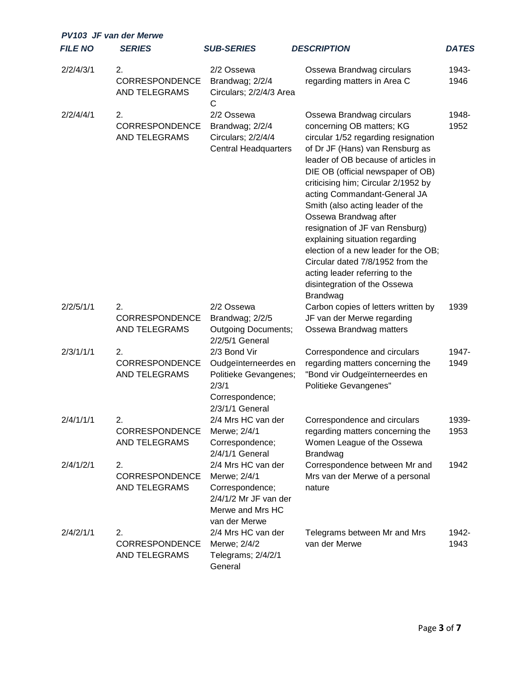|                | <b>PV103 JF van der Merwe</b>                       |                                                                                                                     |                                                                                                                                                                                                                                                                                                                                                                                                                                                                                                                                                                                        |               |
|----------------|-----------------------------------------------------|---------------------------------------------------------------------------------------------------------------------|----------------------------------------------------------------------------------------------------------------------------------------------------------------------------------------------------------------------------------------------------------------------------------------------------------------------------------------------------------------------------------------------------------------------------------------------------------------------------------------------------------------------------------------------------------------------------------------|---------------|
| <b>FILE NO</b> | <b>SERIES</b>                                       | <b>SUB-SERIES</b>                                                                                                   | <b>DESCRIPTION</b>                                                                                                                                                                                                                                                                                                                                                                                                                                                                                                                                                                     | <b>DATES</b>  |
| 2/2/4/3/1      | 2.<br><b>CORRESPONDENCE</b><br><b>AND TELEGRAMS</b> | 2/2 Ossewa<br>Brandwag; 2/2/4<br>Circulars; 2/2/4/3 Area<br>$\mathsf{C}$                                            | Ossewa Brandwag circulars<br>regarding matters in Area C                                                                                                                                                                                                                                                                                                                                                                                                                                                                                                                               | 1943-<br>1946 |
| 2/2/4/4/1      | 2.<br>CORRESPONDENCE<br><b>AND TELEGRAMS</b>        | 2/2 Ossewa<br>Brandwag; 2/2/4<br>Circulars; 2/2/4/4<br><b>Central Headquarters</b>                                  | Ossewa Brandwag circulars<br>concerning OB matters; KG<br>circular 1/52 regarding resignation<br>of Dr JF (Hans) van Rensburg as<br>leader of OB because of articles in<br>DIE OB (official newspaper of OB)<br>criticising him; Circular 2/1952 by<br>acting Commandant-General JA<br>Smith (also acting leader of the<br>Ossewa Brandwag after<br>resignation of JF van Rensburg)<br>explaining situation regarding<br>election of a new leader for the OB;<br>Circular dated 7/8/1952 from the<br>acting leader referring to the<br>disintegration of the Ossewa<br><b>Brandwag</b> | 1948-<br>1952 |
| 2/2/5/1/1      | 2.<br>CORRESPONDENCE<br>AND TELEGRAMS               | 2/2 Ossewa<br>Brandwag; 2/2/5<br><b>Outgoing Documents;</b><br>2/2/5/1 General                                      | Carbon copies of letters written by<br>JF van der Merwe regarding<br>Ossewa Brandwag matters                                                                                                                                                                                                                                                                                                                                                                                                                                                                                           | 1939          |
| 2/3/1/1/1      | 2.<br>CORRESPONDENCE<br><b>AND TELEGRAMS</b>        | 2/3 Bond Vir<br>Oudgeïnterneerdes en<br>Politieke Gevangenes;<br>2/3/1<br>Correspondence;<br>2/3/1/1 General        | Correspondence and circulars<br>regarding matters concerning the<br>"Bond vir Oudgeïnterneerdes en<br>Politieke Gevangenes"                                                                                                                                                                                                                                                                                                                                                                                                                                                            | 1947-<br>1949 |
| 2/4/1/1/1      | 2.<br><b>CORRESPONDENCE</b><br><b>AND TELEGRAMS</b> | 2/4 Mrs HC van der<br>Merwe; 2/4/1<br>Correspondence;<br>2/4/1/1 General                                            | Correspondence and circulars<br>regarding matters concerning the<br>Women League of the Ossewa<br><b>Brandwag</b>                                                                                                                                                                                                                                                                                                                                                                                                                                                                      | 1939-<br>1953 |
| 2/4/1/2/1      | 2.<br><b>CORRESPONDENCE</b><br>AND TELEGRAMS        | 2/4 Mrs HC van der<br>Merwe; 2/4/1<br>Correspondence;<br>2/4/1/2 Mr JF van der<br>Merwe and Mrs HC<br>van der Merwe | Correspondence between Mr and<br>Mrs van der Merwe of a personal<br>nature                                                                                                                                                                                                                                                                                                                                                                                                                                                                                                             | 1942          |
| 2/4/2/1/1      | 2.<br>CORRESPONDENCE<br>AND TELEGRAMS               | 2/4 Mrs HC van der<br>Merwe; 2/4/2<br>Telegrams; 2/4/2/1<br>General                                                 | Telegrams between Mr and Mrs<br>van der Merwe                                                                                                                                                                                                                                                                                                                                                                                                                                                                                                                                          | 1942-<br>1943 |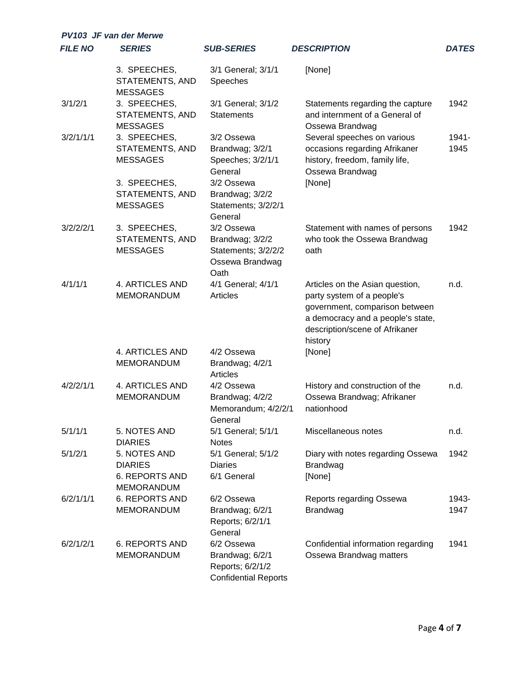| <b>PV103 JF van der Merwe</b> |                                                                              |                                                                                  |                                                                                                                                                                                   |               |
|-------------------------------|------------------------------------------------------------------------------|----------------------------------------------------------------------------------|-----------------------------------------------------------------------------------------------------------------------------------------------------------------------------------|---------------|
| <b>FILE NO</b>                | <b>SERIES</b>                                                                | <b>SUB-SERIES</b>                                                                | <b>DESCRIPTION</b>                                                                                                                                                                | <b>DATES</b>  |
|                               | 3. SPEECHES,<br><b>STATEMENTS, AND</b><br><b>MESSAGES</b>                    | 3/1 General; 3/1/1<br>Speeches                                                   | [None]                                                                                                                                                                            |               |
| 3/1/2/1                       | 3. SPEECHES,<br><b>STATEMENTS, AND</b><br><b>MESSAGES</b>                    | 3/1 General; 3/1/2<br><b>Statements</b>                                          | Statements regarding the capture<br>and internment of a General of<br>Ossewa Brandwag                                                                                             | 1942          |
| 3/2/1/1/1                     | 3. SPEECHES,<br><b>STATEMENTS, AND</b><br><b>MESSAGES</b>                    | 3/2 Ossewa<br>Brandwag; 3/2/1<br>Speeches; 3/2/1/1<br>General                    | Several speeches on various<br>occasions regarding Afrikaner<br>history, freedom, family life,<br>Ossewa Brandwag                                                                 | 1941-<br>1945 |
|                               | 3. SPEECHES,<br><b>STATEMENTS, AND</b><br><b>MESSAGES</b>                    | 3/2 Ossewa<br>Brandwag; 3/2/2<br>Statements; 3/2/2/1<br>General                  | [None]                                                                                                                                                                            |               |
| 3/2/2/2/1                     | 3. SPEECHES,<br><b>STATEMENTS, AND</b><br><b>MESSAGES</b>                    | 3/2 Ossewa<br>Brandwag; 3/2/2<br>Statements; 3/2/2/2<br>Ossewa Brandwag<br>Oath  | Statement with names of persons<br>who took the Ossewa Brandwag<br>oath                                                                                                           | 1942          |
| 4/1/1/1                       | 4. ARTICLES AND<br><b>MEMORANDUM</b>                                         | 4/1 General; 4/1/1<br>Articles                                                   | Articles on the Asian question,<br>party system of a people's<br>government, comparison between<br>a democracy and a people's state,<br>description/scene of Afrikaner<br>history | n.d.          |
|                               | 4. ARTICLES AND<br><b>MEMORANDUM</b>                                         | 4/2 Ossewa<br>Brandwag; 4/2/1<br>Articles                                        | [None]                                                                                                                                                                            |               |
| 4/2/2/1/1                     | 4. ARTICLES AND<br><b>MEMORANDUM</b>                                         | 4/2 Ossewa<br>Brandwag; 4/2/2<br>Memorandum; 4/2/2/1<br>General                  | History and construction of the<br>Ossewa Brandwag; Afrikaner<br>nationhood                                                                                                       | n.d.          |
| 5/1/1/1                       | 5. NOTES AND<br><b>DIARIES</b>                                               | 5/1 General; 5/1/1<br><b>Notes</b>                                               | Miscellaneous notes                                                                                                                                                               | n.d.          |
| 5/1/2/1                       | 5. NOTES AND<br><b>DIARIES</b><br><b>6. REPORTS AND</b><br><b>MEMORANDUM</b> | 5/1 General; 5/1/2<br><b>Diaries</b><br>6/1 General                              | Diary with notes regarding Ossewa<br><b>Brandwag</b><br>[None]                                                                                                                    | 1942          |
| 6/2/1/1/1                     | <b>6. REPORTS AND</b><br><b>MEMORANDUM</b>                                   | 6/2 Ossewa<br>Brandwag; 6/2/1<br>Reports; 6/2/1/1<br>General                     | Reports regarding Ossewa<br><b>Brandwag</b>                                                                                                                                       | 1943-<br>1947 |
| 6/2/1/2/1                     | <b>6. REPORTS AND</b><br><b>MEMORANDUM</b>                                   | 6/2 Ossewa<br>Brandwag; 6/2/1<br>Reports; 6/2/1/2<br><b>Confidential Reports</b> | Confidential information regarding<br>Ossewa Brandwag matters                                                                                                                     | 1941          |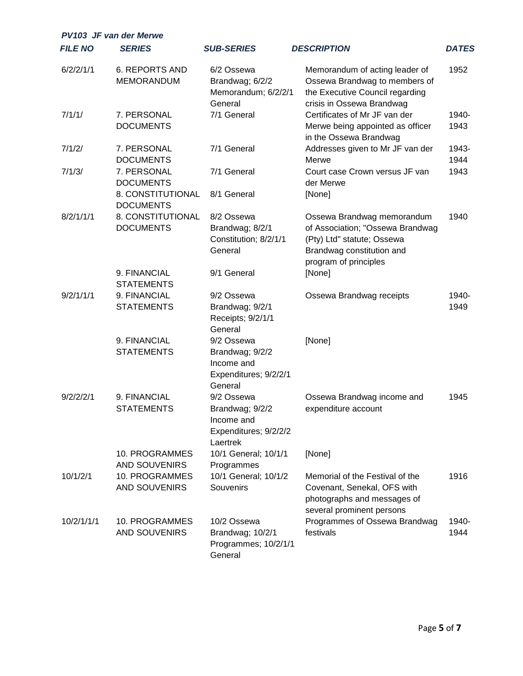| <b>PV103 JF van der Merwe</b> |                                            |                                                                                  |                                                                                                                                                    |               |  |
|-------------------------------|--------------------------------------------|----------------------------------------------------------------------------------|----------------------------------------------------------------------------------------------------------------------------------------------------|---------------|--|
| <b>FILE NO</b>                | <b>SERIES</b>                              | <b>SUB-SERIES</b>                                                                | <b>DESCRIPTION</b>                                                                                                                                 | <b>DATES</b>  |  |
| 6/2/2/1/1                     | <b>6. REPORTS AND</b><br><b>MEMORANDUM</b> | 6/2 Ossewa<br>Brandwag; 6/2/2<br>Memorandum; 6/2/2/1<br>General                  | Memorandum of acting leader of<br>Ossewa Brandwag to members of<br>the Executive Council regarding<br>crisis in Ossewa Brandwag                    | 1952          |  |
| 7/1/1/                        | 7. PERSONAL<br><b>DOCUMENTS</b>            | 7/1 General                                                                      | Certificates of Mr JF van der<br>Merwe being appointed as officer<br>in the Ossewa Brandwag                                                        | 1940-<br>1943 |  |
| 7/1/2/                        | 7. PERSONAL<br><b>DOCUMENTS</b>            | 7/1 General                                                                      | Addresses given to Mr JF van der<br>Merwe                                                                                                          | 1943-<br>1944 |  |
| 7/1/3/                        | 7. PERSONAL<br><b>DOCUMENTS</b>            | 7/1 General                                                                      | Court case Crown versus JF van<br>der Merwe                                                                                                        | 1943          |  |
|                               | 8. CONSTITUTIONAL<br><b>DOCUMENTS</b>      | 8/1 General                                                                      | [None]                                                                                                                                             |               |  |
| 8/2/1/1/1                     | 8. CONSTITUTIONAL<br><b>DOCUMENTS</b>      | 8/2 Ossewa<br>Brandwag; 8/2/1<br>Constitution; 8/2/1/1<br>General                | Ossewa Brandwag memorandum<br>of Association; "Ossewa Brandwag<br>(Pty) Ltd" statute; Ossewa<br>Brandwag constitution and<br>program of principles | 1940          |  |
|                               | 9. FINANCIAL<br><b>STATEMENTS</b>          | 9/1 General                                                                      | [None]                                                                                                                                             |               |  |
| 9/2/1/1/1                     | 9. FINANCIAL<br><b>STATEMENTS</b>          | 9/2 Ossewa<br>Brandwag; 9/2/1<br>Receipts; 9/2/1/1<br>General                    | Ossewa Brandwag receipts                                                                                                                           | 1940-<br>1949 |  |
|                               | 9. FINANCIAL<br><b>STATEMENTS</b>          | 9/2 Ossewa<br>Brandwag; 9/2/2<br>Income and<br>Expenditures; 9/2/2/1<br>General  | [None]                                                                                                                                             |               |  |
| 9/2/2/2/1                     | 9. FINANCIAL<br><b>STATEMENTS</b>          | 9/2 Ossewa<br>Brandwag; 9/2/2<br>Income and<br>Expenditures; 9/2/2/2<br>Laertrek | Ossewa Brandwag income and<br>expenditure account                                                                                                  | 1945          |  |
|                               | 10. PROGRAMMES<br><b>AND SOUVENIRS</b>     | 10/1 General; 10/1/1<br>Programmes                                               | [None]                                                                                                                                             |               |  |
| 10/1/2/1                      | 10. PROGRAMMES<br><b>AND SOUVENIRS</b>     | 10/1 General; 10/1/2<br>Souvenirs                                                | Memorial of the Festival of the<br>Covenant, Senekal, OFS with<br>photographs and messages of<br>several prominent persons                         | 1916          |  |
| 10/2/1/1/1                    | 10. PROGRAMMES<br><b>AND SOUVENIRS</b>     | 10/2 Ossewa<br>Brandwag; 10/2/1<br>Programmes; 10/2/1/1<br>General               | Programmes of Ossewa Brandwag<br>festivals                                                                                                         | 1940-<br>1944 |  |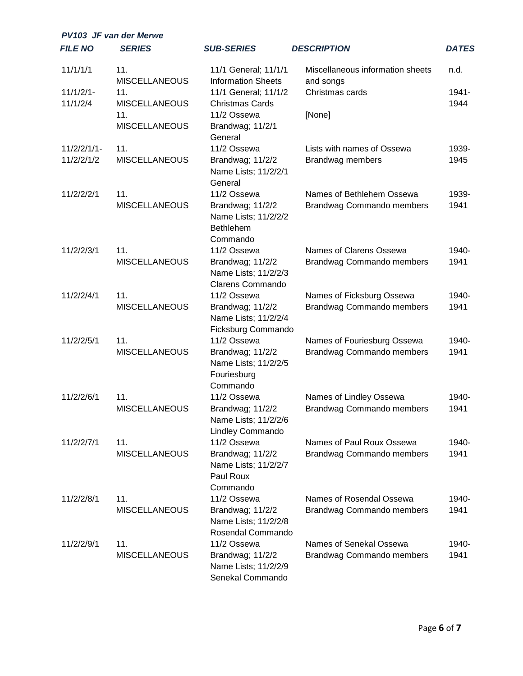| <b>PV103 JF van der Merwe</b> |                             |                                                                          |                                               |              |
|-------------------------------|-----------------------------|--------------------------------------------------------------------------|-----------------------------------------------|--------------|
| <b>FILE NO</b>                | <b>SERIES</b>               | <b>SUB-SERIES</b>                                                        | <b>DESCRIPTION</b>                            | <b>DATES</b> |
| 11/1/1/1                      | 11.<br><b>MISCELLANEOUS</b> | 11/1 General; 11/1/1<br><b>Information Sheets</b>                        | Miscellaneous information sheets<br>and songs | n.d.         |
| $11/1/2/1-$                   | 11.                         | 11/1 General; 11/1/2                                                     | Christmas cards                               | 1941-        |
| 11/1/2/4                      | <b>MISCELLANEOUS</b>        | <b>Christmas Cards</b>                                                   |                                               | 1944         |
|                               | 11.                         | 11/2 Ossewa                                                              | [None]                                        |              |
|                               | <b>MISCELLANEOUS</b>        | Brandwag; 11/2/1<br>General                                              |                                               |              |
| $11/2/2/1/1$ -                | 11.                         | 11/2 Ossewa                                                              | Lists with names of Ossewa                    | 1939-        |
| 11/2/2/1/2                    | <b>MISCELLANEOUS</b>        | Brandwag; 11/2/2<br>Name Lists; 11/2/2/1<br>General                      | Brandwag members                              | 1945         |
| 11/2/2/2/1                    | 11.                         | 11/2 Ossewa                                                              | Names of Bethlehem Ossewa                     | 1939-        |
|                               | <b>MISCELLANEOUS</b>        | Brandwag; 11/2/2<br>Name Lists; 11/2/2/2<br><b>Bethlehem</b><br>Commando | Brandwag Commando members                     | 1941         |
| 11/2/2/3/1                    | 11.                         | 11/2 Ossewa                                                              | Names of Clarens Ossewa                       | 1940-        |
|                               | <b>MISCELLANEOUS</b>        | Brandwag; 11/2/2                                                         | Brandwag Commando members                     | 1941         |
|                               |                             | Name Lists; 11/2/2/3                                                     |                                               |              |
|                               |                             | <b>Clarens Commando</b>                                                  |                                               |              |
| 11/2/2/4/1                    | 11.                         | 11/2 Ossewa                                                              | Names of Ficksburg Ossewa                     | 1940-        |
|                               | <b>MISCELLANEOUS</b>        | Brandwag; 11/2/2                                                         | Brandwag Commando members                     | 1941         |
|                               |                             | Name Lists; 11/2/2/4                                                     |                                               |              |
|                               |                             | Ficksburg Commando                                                       |                                               |              |
| 11/2/2/5/1                    | 11.                         | 11/2 Ossewa                                                              | Names of Fouriesburg Ossewa                   | 1940-        |
|                               | <b>MISCELLANEOUS</b>        | Brandwag; 11/2/2<br>Name Lists; 11/2/2/5                                 | <b>Brandwag Commando members</b>              | 1941         |
|                               |                             | Fouriesburg                                                              |                                               |              |
|                               |                             | Commando                                                                 |                                               |              |
| 11/2/2/6/1                    | 11.                         | 11/2 Ossewa                                                              | Names of Lindley Ossewa                       | 1940-        |
|                               | <b>MISCELLANEOUS</b>        | Brandwag; 11/2/2                                                         | <b>Brandwag Commando members</b>              | 1941         |
|                               |                             | Name Lists; 11/2/2/6                                                     |                                               |              |
|                               |                             | <b>Lindley Commando</b>                                                  |                                               |              |
| 11/2/2/7/1                    | 11.                         | 11/2 Ossewa                                                              | Names of Paul Roux Ossewa                     | 1940-        |
|                               | <b>MISCELLANEOUS</b>        | Brandwag; 11/2/2                                                         | <b>Brandwag Commando members</b>              | 1941         |
|                               |                             | Name Lists; 11/2/2/7                                                     |                                               |              |
|                               |                             | Paul Roux                                                                |                                               |              |
|                               |                             | Commando                                                                 |                                               |              |
| 11/2/2/8/1                    | 11.                         | 11/2 Ossewa                                                              | Names of Rosendal Ossewa                      | 1940-        |
|                               | <b>MISCELLANEOUS</b>        | Brandwag; 11/2/2                                                         | <b>Brandwag Commando members</b>              | 1941         |
|                               |                             | Name Lists; 11/2/2/8<br>Rosendal Commando                                |                                               |              |
| 11/2/2/9/1                    | 11.                         | 11/2 Ossewa                                                              | Names of Senekal Ossewa                       | 1940-        |
|                               | <b>MISCELLANEOUS</b>        | Brandwag; 11/2/2                                                         | <b>Brandwag Commando members</b>              | 1941         |
|                               |                             | Name Lists; 11/2/2/9<br>Senekal Commando                                 |                                               |              |